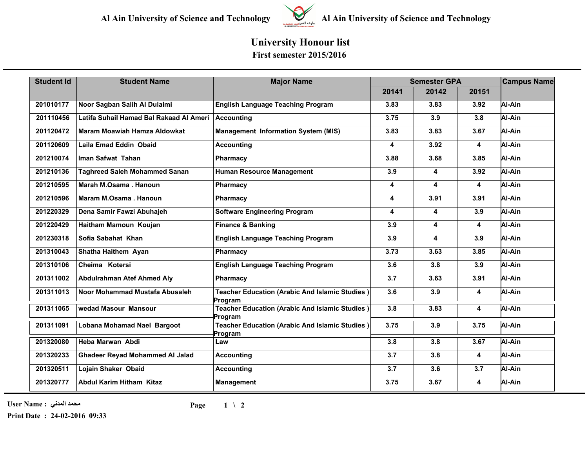

## **University Honour list**

**First semester 2015/2016**

| <b>Student Id</b> | <b>Student Name</b>                     | <b>Major Name</b>                                                | <b>Semester GPA</b> |       |                         | <b>Campus Name</b> |
|-------------------|-----------------------------------------|------------------------------------------------------------------|---------------------|-------|-------------------------|--------------------|
|                   |                                         |                                                                  | 20141               | 20142 | 20151                   |                    |
| 201010177         | Noor Sagban Salih Al Dulaimi            | <b>English Language Teaching Program</b>                         | 3.83                | 3.83  | 3.92                    | Al-Ain             |
| 201110456         | Latifa Suhail Hamad Bal Rakaad Al Ameri | Accounting                                                       | 3.75                | 3.9   | 3.8                     | Al-Ain             |
| 201120472         | <b>Maram Moawiah Hamza Aldowkat</b>     | <b>Management Information System (MIS)</b>                       | 3.83                | 3.83  | 3.67                    | Al-Ain             |
| 201120609         | Laila Emad Eddin Obaid                  | <b>Accounting</b>                                                | 4                   | 3.92  | 4                       | Al-Ain             |
| 201210074         | Iman Safwat Tahan                       | Pharmacy                                                         | 3.88                | 3.68  | 3.85                    | Al-Ain             |
| 201210136         | <b>Taghreed Saleh Mohammed Sanan</b>    | <b>Human Resource Management</b>                                 | 3.9                 | 4     | 3.92                    | Al-Ain             |
| 201210595         | Marah M.Osama, Hanoun                   | <b>Pharmacy</b>                                                  | 4                   | 4     | 4                       | Al-Ain             |
| 201210596         | Maram M.Osama, Hanoun                   | Pharmacy                                                         | 4                   | 3.91  | 3.91                    | Al-Ain             |
| 201220329         | Dena Samir Fawzi Abuhajeh               | <b>Software Engineering Program</b>                              | 4                   | 4     | 3.9                     | Al-Ain             |
| 201220429         | Haitham Mamoun Koujan                   | <b>Finance &amp; Banking</b>                                     | 3.9                 | 4     | 4                       | Al-Ain             |
| 201230318         | Sofia Sabahat Khan                      | <b>English Language Teaching Program</b>                         | 3.9                 | 4     | 3.9                     | Al-Ain             |
| 201310043         | Shatha Haithem Ayan                     | Pharmacy                                                         | 3.73                | 3.63  | 3.85                    | Al-Ain             |
| 201310106         | Cheima Kotersi                          | <b>English Language Teaching Program</b>                         | 3.6                 | 3.8   | 3.9                     | Al-Ain             |
| 201311002         | <b>Abdulrahman Atef Ahmed Aly</b>       | <b>Pharmacy</b>                                                  | 3.7                 | 3.63  | 3.91                    | Al-Ain             |
| 201311013         | Noor Mohammad Mustafa Abusaleh          | <b>Teacher Education (Arabic And Islamic Studies)</b><br>Program | 3.6                 | 3.9   | 4                       | Al-Ain             |
| 201311065         | wedad Masour Mansour                    | <b>Teacher Education (Arabic And Islamic Studies)</b><br>Program | 3.8                 | 3.83  | 4                       | Al-Ain             |
| 201311091         | Lobana Mohamad Nael Bargoot             | <b>Teacher Education (Arabic And Islamic Studies)</b><br>Program | 3.75                | 3.9   | 3.75                    | Al-Ain             |
| 201320080         | Heba Marwan Abdi                        | Law                                                              | 3.8                 | 3.8   | 3.67                    | Al-Ain             |
| 201320233         | <b>Ghadeer Reyad Mohammed Al Jalad</b>  | <b>Accounting</b>                                                | 3.7                 | 3.8   | $\overline{\mathbf{4}}$ | Al-Ain             |
| 201320511         | Lojain Shaker Obaid                     | <b>Accounting</b>                                                | 3.7                 | 3.6   | 3.7                     | Al-Ain             |
| 201320777         | <b>Abdul Karim Hitham Kitaz</b>         | <b>Management</b>                                                | 3.75                | 3.67  | 4                       | Al-Ain             |